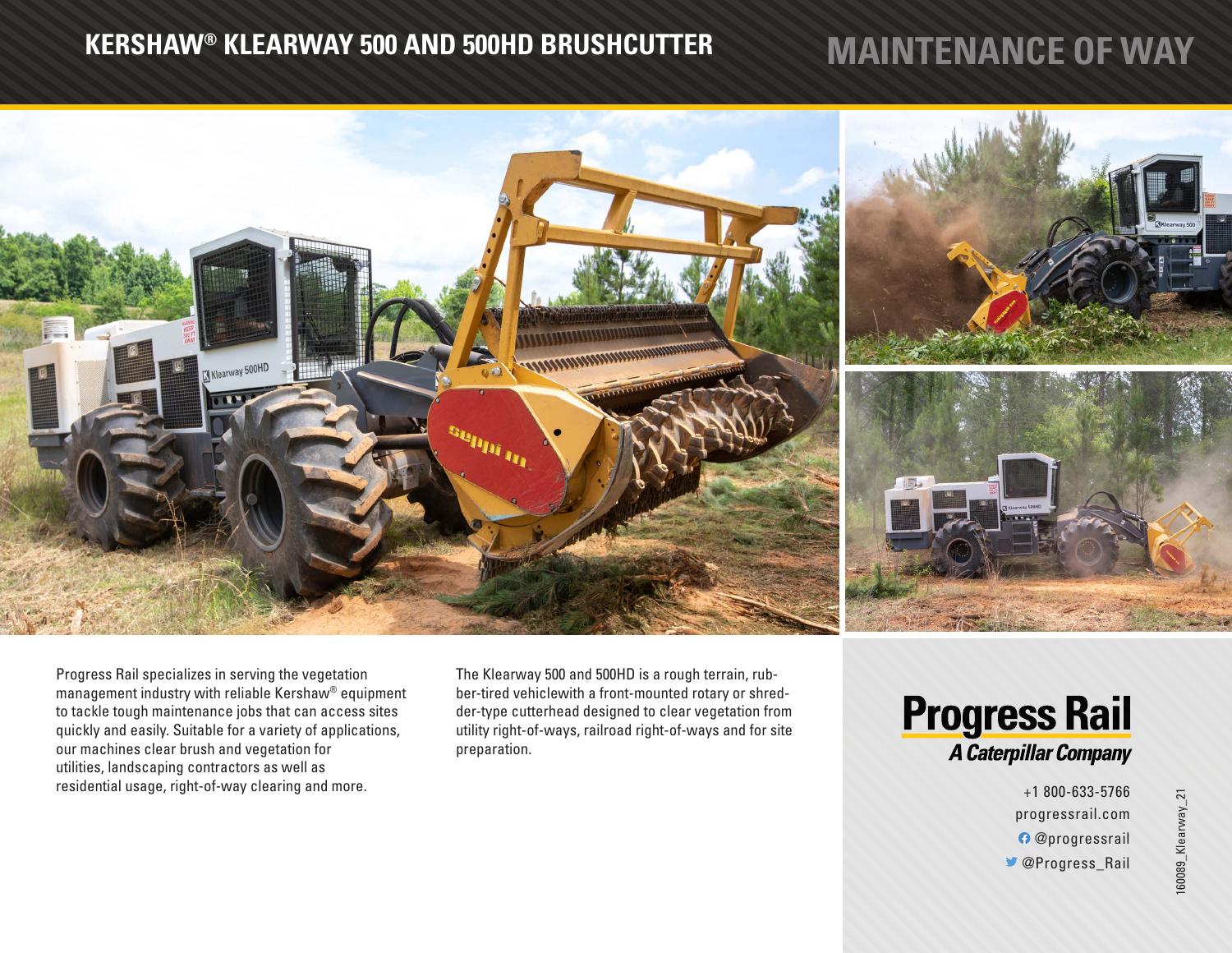## **KERSHAW® KLEARWAY 500 AND 500HD BRUSHCUTTER MAINTENANCE OF WAY**



Progress Rail specializes in serving the vegetation management industry with reliable Kershaw® equipment to tackle tough maintenance jobs that can access sites quickly and easily. Suitable for a variety of applications, our machines clear brush and vegetation for utilities, landscaping contractors as well as residential usage, right-of-way clearing and more.

The Klearway 500 and 500HD is a rough terrain, rubber-tired vehiclewith a front-mounted rotary or shredder-type cutterhead designed to clear vegetation from utility right-of-ways, railroad right-of-ways and for site preparation.



+1 800-633-5766 progressrail.com @progressrail @Progress\_Rail